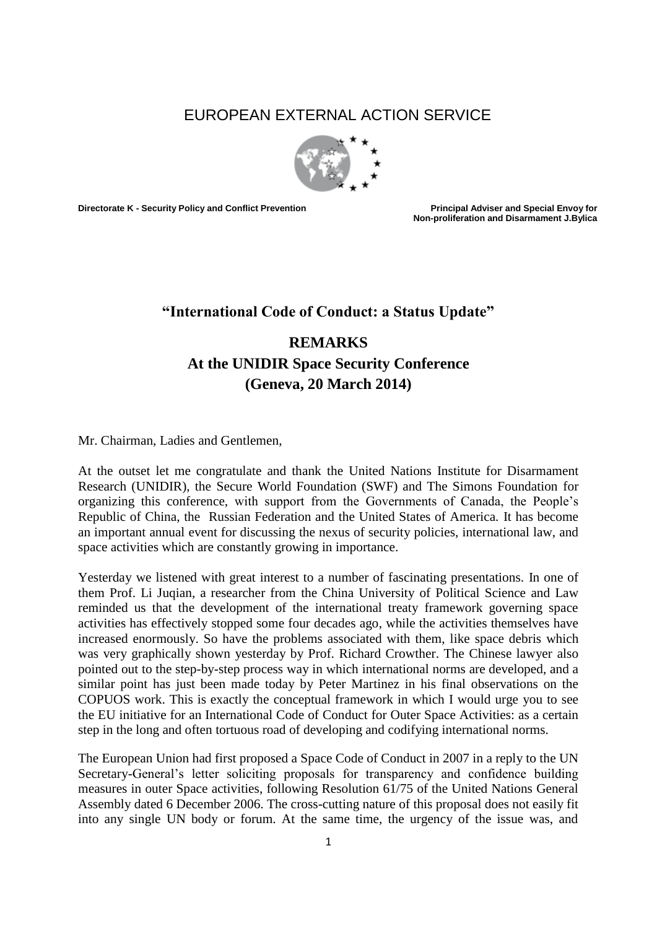## EUROPEAN EXTERNAL ACTION SERVICE



**Directorate K - Security Policy and Conflict Prevention Principal Adviser and Special Envoy for** 

**Non-proliferation and Disarmament J.Bylica**

## **"International Code of Conduct: a Status Update"**

## **REMARKS At the UNIDIR Space Security Conference (Geneva, 20 March 2014)**

Mr. Chairman, Ladies and Gentlemen,

At the outset let me congratulate and thank the United Nations Institute for Disarmament Research (UNIDIR), the Secure World Foundation (SWF) and The Simons Foundation for organizing this conference, with support from the Governments of Canada, the People's Republic of China, the Russian Federation and the United States of America. It has become an important annual event for discussing the nexus of security policies, international law, and space activities which are constantly growing in importance.

Yesterday we listened with great interest to a number of fascinating presentations. In one of them Prof. Li Juqian, a researcher from the China University of Political Science and Law reminded us that the development of the international treaty framework governing space activities has effectively stopped some four decades ago, while the activities themselves have increased enormously. So have the problems associated with them, like space debris which was very graphically shown yesterday by Prof. Richard Crowther. The Chinese lawyer also pointed out to the step-by-step process way in which international norms are developed, and a similar point has just been made today by Peter Martinez in his final observations on the COPUOS work. This is exactly the conceptual framework in which I would urge you to see the EU initiative for an International Code of Conduct for Outer Space Activities: as a certain step in the long and often tortuous road of developing and codifying international norms.

The European Union had first proposed a Space Code of Conduct in 2007 in a reply to the UN Secretary-General's letter soliciting proposals for transparency and confidence building measures in outer Space activities, following Resolution 61/75 of the United Nations General Assembly dated 6 December 2006. The cross-cutting nature of this proposal does not easily fit into any single UN body or forum. At the same time, the urgency of the issue was, and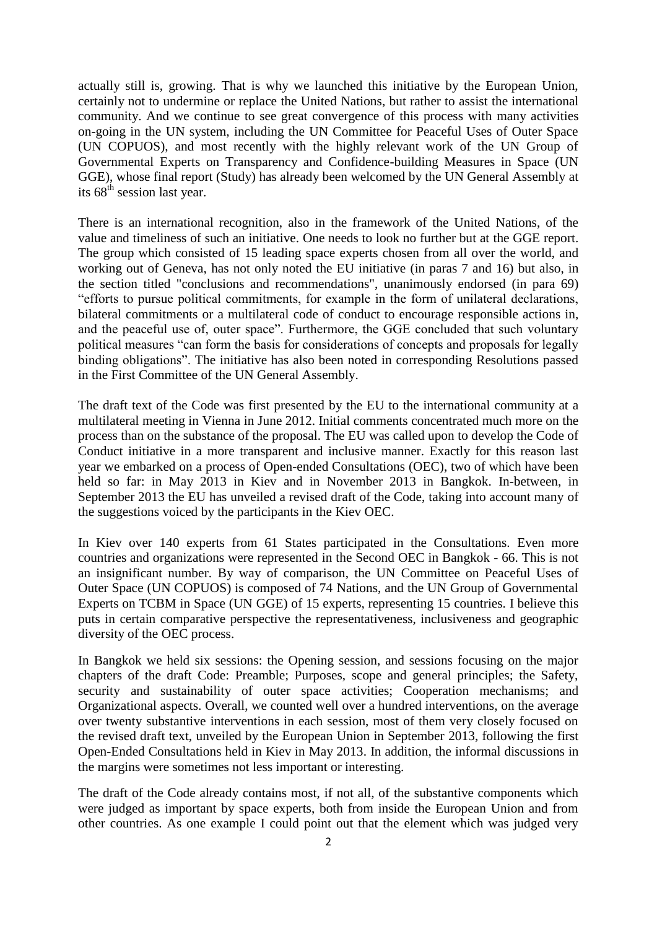actually still is, growing. That is why we launched this initiative by the European Union, certainly not to undermine or replace the United Nations, but rather to assist the international community. And we continue to see great convergence of this process with many activities on-going in the UN system, including the UN Committee for Peaceful Uses of Outer Space (UN COPUOS), and most recently with the highly relevant work of the UN Group of Governmental Experts on Transparency and Confidence-building Measures in Space (UN GGE), whose final report (Study) has already been welcomed by the UN General Assembly at its 68th session last year.

There is an international recognition, also in the framework of the United Nations, of the value and timeliness of such an initiative. One needs to look no further but at the GGE report. The group which consisted of 15 leading space experts chosen from all over the world, and working out of Geneva, has not only noted the EU initiative (in paras 7 and 16) but also, in the section titled "conclusions and recommendations", unanimously endorsed (in para 69) "efforts to pursue political commitments, for example in the form of unilateral declarations, bilateral commitments or a multilateral code of conduct to encourage responsible actions in, and the peaceful use of, outer space". Furthermore, the GGE concluded that such voluntary political measures "can form the basis for considerations of concepts and proposals for legally binding obligations". The initiative has also been noted in corresponding Resolutions passed in the First Committee of the UN General Assembly.

The draft text of the Code was first presented by the EU to the international community at a multilateral meeting in Vienna in June 2012. Initial comments concentrated much more on the process than on the substance of the proposal. The EU was called upon to develop the Code of Conduct initiative in a more transparent and inclusive manner. Exactly for this reason last year we embarked on a process of Open-ended Consultations (OEC), two of which have been held so far: in May 2013 in Kiev and in November 2013 in Bangkok. In-between, in September 2013 the EU has unveiled a revised draft of the Code, taking into account many of the suggestions voiced by the participants in the Kiev OEC.

In Kiev over 140 experts from 61 States participated in the Consultations. Even more countries and organizations were represented in the Second OEC in Bangkok - 66. This is not an insignificant number. By way of comparison, the UN Committee on Peaceful Uses of Outer Space (UN COPUOS) is composed of 74 Nations, and the UN Group of Governmental Experts on TCBM in Space (UN GGE) of 15 experts, representing 15 countries. I believe this puts in certain comparative perspective the representativeness, inclusiveness and geographic diversity of the OEC process.

In Bangkok we held six sessions: the Opening session, and sessions focusing on the major chapters of the draft Code: Preamble; Purposes, scope and general principles; the Safety, security and sustainability of outer space activities; Cooperation mechanisms; and Organizational aspects. Overall, we counted well over a hundred interventions, on the average over twenty substantive interventions in each session, most of them very closely focused on the revised draft text, unveiled by the European Union in September 2013, following the first Open-Ended Consultations held in Kiev in May 2013. In addition, the informal discussions in the margins were sometimes not less important or interesting.

The draft of the Code already contains most, if not all, of the substantive components which were judged as important by space experts, both from inside the European Union and from other countries. As one example I could point out that the element which was judged very